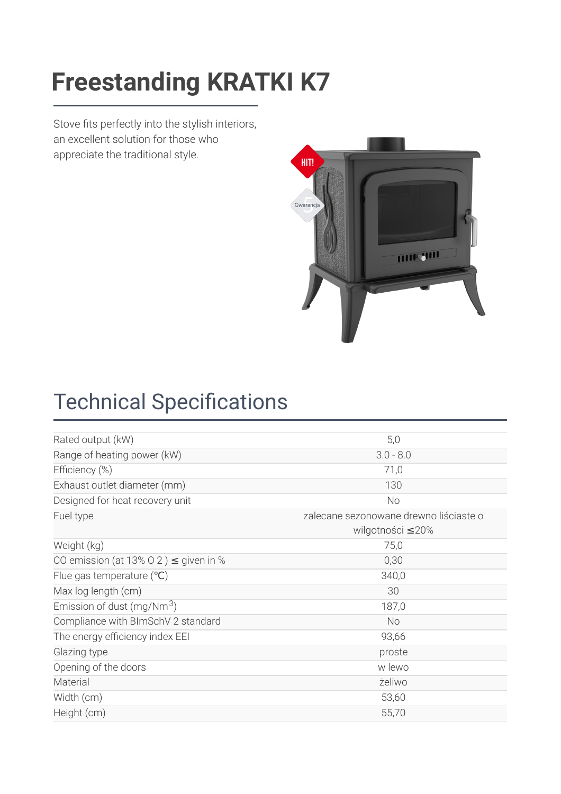### [Freestanding](https://kratki.com/sklep/en/produkt/905/freestanding-stove-k7) KDATKI K7 **Freestanding KRATKI K7**

Stove fits perfectly into the stylish interiors, an excellent solution for those who appreciate the traditional style.



## **Technical Specifications**

| 5,0                                    |
|----------------------------------------|
| $3.0 - 8.0$                            |
| 71,0                                   |
| 130                                    |
| No                                     |
| zalecane sezonowane drewno liściaste o |
| wilgotności ≤20%                       |
| 75,0                                   |
| 0,30                                   |
| 340,0                                  |
| 30                                     |
| 187,0                                  |
| <b>No</b>                              |
| 93,66                                  |
| proste                                 |
| w lewo                                 |
| żeliwo                                 |
| 53,60                                  |
| 55,70                                  |
|                                        |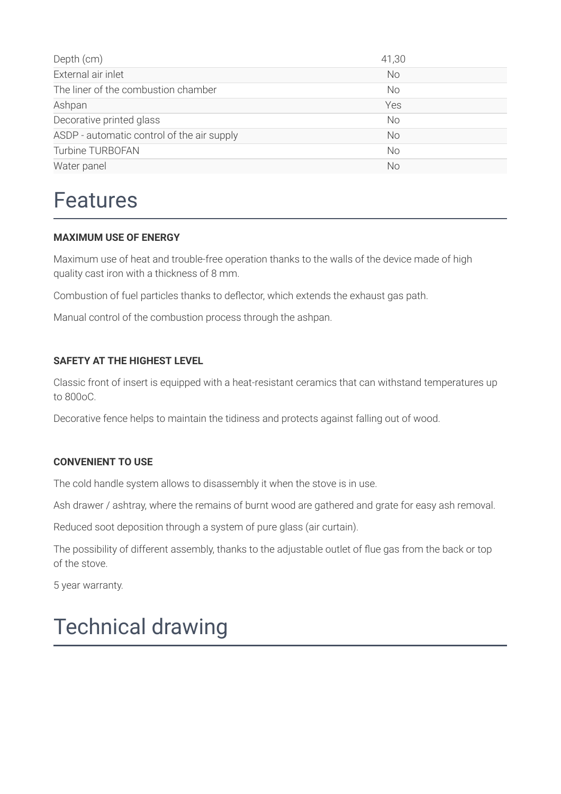| Depth (cm)                                 | 41,30     |
|--------------------------------------------|-----------|
| External air inlet                         | <b>No</b> |
| The liner of the combustion chamber        | No        |
| Ashpan                                     | Yes       |
| Decorative printed glass                   | No.       |
| ASDP - automatic control of the air supply | No.       |
| Turbine TURBOFAN                           | <b>No</b> |
| Water panel                                | No        |

### Features

#### **MAXIMUM USE OF ENERGY**

Maximum use of heat and trouble-free operation thanks to the walls of the device made of high quality cast iron with a thickness of 8 mm.

Combustion of fuel particles thanks to deflector, which extends the exhaust gas path.

Manual control of the combustion process through the ashpan.

#### **SAFETY AT THE HIGHEST LEVEL**

Classic front of insert is equipped with a heat-resistant ceramics that can withstand temperatures up to 800oC.

Decorative fence helps to maintain the tidiness and protects against falling out of wood.

#### **CONVENIENT TO USE**

The cold handle system allows to disassembly it when the stove is in use.

Ash drawer / ashtray, where the remains of burnt wood are gathered and grate for easy ash removal.

Reduced soot deposition through a system of pure glass (air curtain).

The possibility of different assembly, thanks to the adjustable outlet of flue gas from the back or top of the stove.

5 year warranty.

## Technical drawing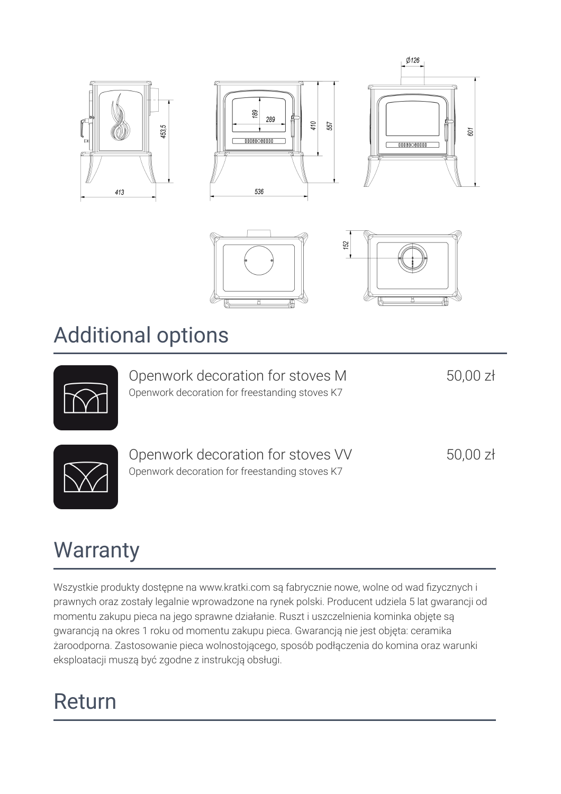

### Additional options

Openwork decoration for stoves M Openwork decoration for freestanding stoves K7

50,00 zł



Openwork decoration for stoves VV Openwork decoration for freestanding stoves K7

50,00 zł

# **Warranty**

Wszystkie produkty dostępne na www.kratki.com są fabrycznie nowe, wolne od wad fizycznych i prawnych oraz zostały legalnie wprowadzone na rynek polski. Producent udziela 5 lat gwarancji od momentu zakupu pieca na jego sprawne działanie. Ruszt i uszczelnienia kominka objęte są gwarancją na okres 1 roku od momentu zakupu pieca. Gwarancją nie jest objęta: ceramika żaroodporna. Zastosowanie pieca wolnostojącego, sposób podłączenia do komina oraz warunki eksploatacji muszą być zgodne z instrukcją obsługi.

# Return